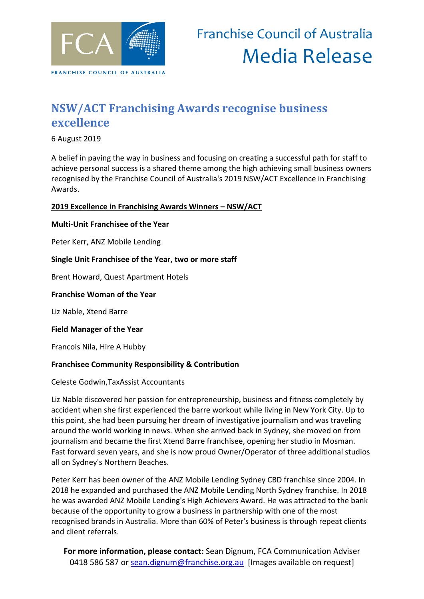

# **NSW/ACT Franchising Awards recognise business excellence**

6 August 2019

A belief in paving the way in business and focusing on creating a successful path for staff to achieve personal success is a shared theme among the high achieving small business owners recognised by the Franchise Council of Australia's 2019 NSW/ACT Excellence in Franchising Awards.

## **2019 Excellence in Franchising Awards Winners – NSW/ACT**

#### **Multi-Unit Franchisee of the Year**

Peter Kerr, ANZ Mobile Lending

#### **Single Unit Franchisee of the Year, two or more staff**

Brent Howard, Quest Apartment Hotels

#### **Franchise Woman of the Year**

Liz Nable, Xtend Barre

**Field Manager of the Year**

Francois Nila, Hire A Hubby

## **Franchisee Community Responsibility & Contribution**

#### Celeste Godwin,TaxAssist Accountants

Liz Nable discovered her passion for entrepreneurship, business and fitness completely by accident when she first experienced the barre workout while living in New York City. Up to this point, she had been pursuing her dream of investigative journalism and was traveling around the world working in news. When she arrived back in Sydney, she moved on from journalism and became the first Xtend Barre franchisee, opening her studio in Mosman. Fast forward seven years, and she is now proud Owner/Operator of three additional studios all on Sydney's Northern Beaches.

Peter Kerr has been owner of the ANZ Mobile Lending Sydney CBD franchise since 2004. In 2018 he expanded and purchased the ANZ Mobile Lending North Sydney franchise. In 2018 he was awarded ANZ Mobile Lending's High Achievers Award. He was attracted to the bank because of the opportunity to grow a business in partnership with one of the most recognised brands in Australia. More than 60% of Peter's business is through repeat clients and client referrals.

**For more information, please contact:** Sean Dignum, FCA Communication Adviser 0418 586 587 or [sean.dignum@franchise.org.au](mailto:sean.dignum@franchise.org.au) [Images available on request]